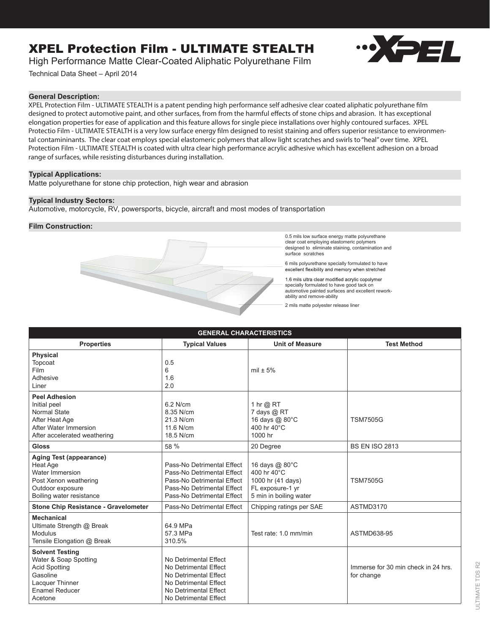# XPEL Protection Film - ULTIMATE STEALTH



High Performance Matte Clear-Coated Aliphatic Polyurethane Film

Technical Data Sheet – April 2014

## **General Description:**

XPEL Protection Film - ULTIMATE STEALTH is a patent pending high performance self adhesive clear coated aliphatic polyurethane film designed to protect automotive paint, and other surfaces, from from the harmful effects of stone chips and abrasion. It has exceptional elongation properties for ease of application and this feature allows for single piece installations over highly contoured surfaces. XPEL Protectio Film - ULTIMATE STEALTH is a very low surface energy film designed to resist staining and offers superior resistance to environmental contamininants. The clear coat employs special elastomeric polymers that allow light scratches and swirls to "heal" over time. XPEL Protection Film - ULTIMATE STEALTH is coated with ultra clear high performance acrylic adhesive which has excellent adhesion on a broad range of surfaces, while resisting disturbances during installation.

## **Typical Applications:**

Matte polyurethane for stone chip protection, high wear and abrasion

## **Typical Industry Sectors:**

Automotive, motorcycle, RV, powersports, bicycle, aircraft and most modes of transportation

## **Film Construction:**



0.5 mils low surface energy matte polyurethane clear coat employing elastomeric polymers designed to eliminate staining, contamination and surface scratches

6 mils polyurethane specially formulated to have excellent flexibility and memory when stretched

1.6 mils ultra clear modified acrylic copolymer specially formulated to have good tack on automotive painted surfaces and excellent reworkability and remove-ability

2 mils matte polyester release liner

| <b>GENERAL CHARACTERISTICS</b>                                                                                                             |                                                                                                                                                    |                                                                                                  |                                                   |
|--------------------------------------------------------------------------------------------------------------------------------------------|----------------------------------------------------------------------------------------------------------------------------------------------------|--------------------------------------------------------------------------------------------------|---------------------------------------------------|
| <b>Properties</b>                                                                                                                          | <b>Typical Values</b>                                                                                                                              | <b>Unit of Measure</b>                                                                           | <b>Test Method</b>                                |
| <b>Physical</b><br>Topcoat<br><b>Film</b><br>Adhesive<br>Liner                                                                             | 0.5<br>6<br>1.6<br>2.0                                                                                                                             | mil $\pm$ 5%                                                                                     |                                                   |
| <b>Peel Adhesion</b><br>Initial peel<br><b>Normal State</b><br>After Heat Age<br>After Water Immersion<br>After accelerated weathering     | 6.2 N/cm<br>8.35 N/cm<br>21.3 N/cm<br>11.6 N/cm<br>18.5 N/cm                                                                                       | 1 hr @ RT<br>7 days @ RT<br>16 days @ 80°C<br>400 hr 40°C<br>1000 hr                             | <b>TSM7505G</b>                                   |
| <b>Gloss</b>                                                                                                                               | 58 %                                                                                                                                               | 20 Degree                                                                                        | <b>BS EN ISO 2813</b>                             |
| Aging Test (appearance)<br>Heat Age<br>Water Immersion<br>Post Xenon weathering<br>Outdoor exposure<br>Boiling water resistance            | Pass-No Detrimental Effect<br>Pass-No Detrimental Effect<br>Pass-No Detrimental Effect<br>Pass-No Detrimental Effect<br>Pass-No Detrimental Effect | 16 days @ 80°C<br>400 hr 40°C<br>1000 hr (41 days)<br>FL exposure-1 yr<br>5 min in boiling water | <b>TSM7505G</b>                                   |
| <b>Stone Chip Resistance - Gravelometer</b>                                                                                                | Pass-No Detrimental Effect                                                                                                                         | Chipping ratings per SAE                                                                         | ASTMD3170                                         |
| <b>Mechanical</b><br>Ultimate Strength @ Break<br><b>Modulus</b><br>Tensile Elongation @ Break                                             | 64.9 MPa<br>57.3 MPa<br>310.5%                                                                                                                     | Test rate: 1.0 mm/min                                                                            | ASTMD638-95                                       |
| <b>Solvent Testing</b><br>Water & Soap Spotting<br><b>Acid Spotting</b><br>Gasoline<br>Lacquer Thinner<br><b>Enamel Reducer</b><br>Acetone | No Detrimental Effect<br>No Detrimental Effect<br>No Detrimental Effect<br>No Detrimental Effect<br>No Detrimental Effect<br>No Detrimental Effect |                                                                                                  | Immerse for 30 min check in 24 hrs.<br>for change |